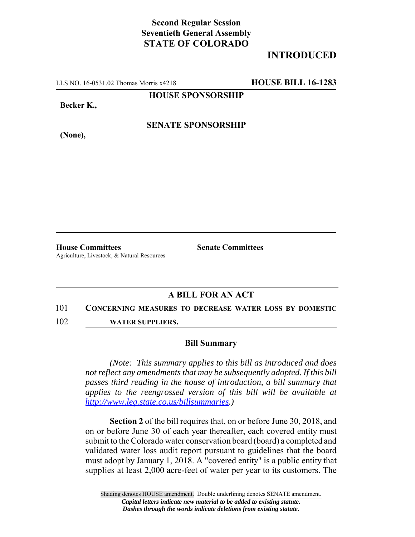# **Second Regular Session Seventieth General Assembly STATE OF COLORADO**

# **INTRODUCED**

LLS NO. 16-0531.02 Thomas Morris x4218 **HOUSE BILL 16-1283**

**HOUSE SPONSORSHIP**

**Becker K.,**

**(None),**

**SENATE SPONSORSHIP**

**House Committees Senate Committees** Agriculture, Livestock, & Natural Resources

## **A BILL FOR AN ACT**

#### 101 **CONCERNING MEASURES TO DECREASE WATER LOSS BY DOMESTIC**

102 **WATER SUPPLIERS.**

### **Bill Summary**

*(Note: This summary applies to this bill as introduced and does not reflect any amendments that may be subsequently adopted. If this bill passes third reading in the house of introduction, a bill summary that applies to the reengrossed version of this bill will be available at http://www.leg.state.co.us/billsummaries.)*

**Section 2** of the bill requires that, on or before June 30, 2018, and on or before June 30 of each year thereafter, each covered entity must submit to the Colorado water conservation board (board) a completed and validated water loss audit report pursuant to guidelines that the board must adopt by January 1, 2018. A "covered entity" is a public entity that supplies at least 2,000 acre-feet of water per year to its customers. The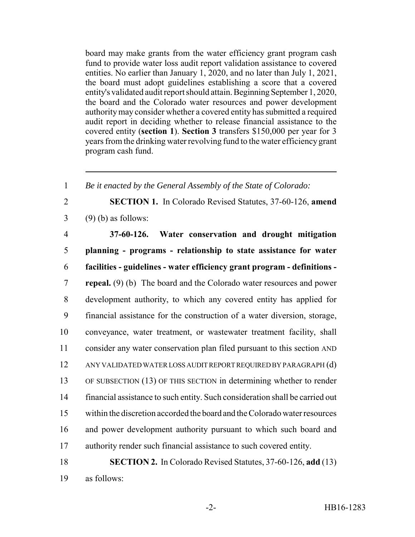board may make grants from the water efficiency grant program cash fund to provide water loss audit report validation assistance to covered entities. No earlier than January 1, 2020, and no later than July 1, 2021, the board must adopt guidelines establishing a score that a covered entity's validated audit report should attain. Beginning September 1, 2020, the board and the Colorado water resources and power development authority may consider whether a covered entity has submitted a required audit report in deciding whether to release financial assistance to the covered entity (**section 1**). **Section 3** transfers \$150,000 per year for 3 years from the drinking water revolving fund to the water efficiency grant program cash fund.

 *Be it enacted by the General Assembly of the State of Colorado:* **SECTION 1.** In Colorado Revised Statutes, 37-60-126, **amend** (9) (b) as follows: **37-60-126. Water conservation and drought mitigation planning - programs - relationship to state assistance for water facilities - guidelines - water efficiency grant program - definitions - repeal.** (9) (b) The board and the Colorado water resources and power development authority, to which any covered entity has applied for financial assistance for the construction of a water diversion, storage, conveyance, water treatment, or wastewater treatment facility, shall consider any water conservation plan filed pursuant to this section AND ANY VALIDATED WATER LOSS AUDIT REPORT REQUIRED BY PARAGRAPH (d) OF SUBSECTION (13) OF THIS SECTION in determining whether to render financial assistance to such entity. Such consideration shall be carried out within the discretion accorded the board and the Colorado water resources and power development authority pursuant to which such board and authority render such financial assistance to such covered entity. **SECTION 2.** In Colorado Revised Statutes, 37-60-126, **add** (13)

as follows: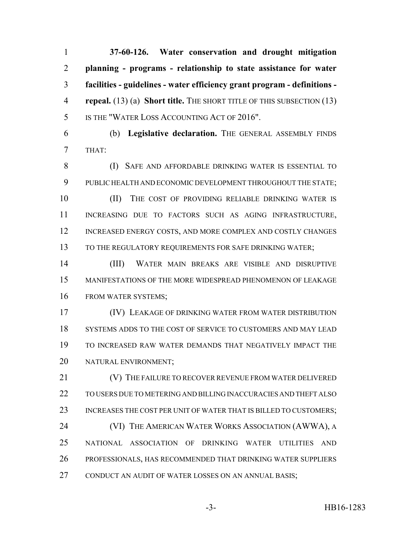**37-60-126. Water conservation and drought mitigation planning - programs - relationship to state assistance for water facilities - guidelines - water efficiency grant program - definitions - repeal.** (13) (a) **Short title.** THE SHORT TITLE OF THIS SUBSECTION (13) IS THE "WATER LOSS ACCOUNTING ACT OF 2016".

 (b) **Legislative declaration.** THE GENERAL ASSEMBLY FINDS THAT:

 (I) SAFE AND AFFORDABLE DRINKING WATER IS ESSENTIAL TO PUBLIC HEALTH AND ECONOMIC DEVELOPMENT THROUGHOUT THE STATE; 10 (II) THE COST OF PROVIDING RELIABLE DRINKING WATER IS INCREASING DUE TO FACTORS SUCH AS AGING INFRASTRUCTURE, 12 INCREASED ENERGY COSTS, AND MORE COMPLEX AND COSTLY CHANGES 13 TO THE REGULATORY REQUIREMENTS FOR SAFE DRINKING WATER;

 (III) WATER MAIN BREAKS ARE VISIBLE AND DISRUPTIVE MANIFESTATIONS OF THE MORE WIDESPREAD PHENOMENON OF LEAKAGE FROM WATER SYSTEMS;

 (IV) LEAKAGE OF DRINKING WATER FROM WATER DISTRIBUTION SYSTEMS ADDS TO THE COST OF SERVICE TO CUSTOMERS AND MAY LEAD TO INCREASED RAW WATER DEMANDS THAT NEGATIVELY IMPACT THE NATURAL ENVIRONMENT;

21 (V) THE FAILURE TO RECOVER REVENUE FROM WATER DELIVERED TO USERS DUE TO METERING AND BILLING INACCURACIES AND THEFT ALSO 23 INCREASES THE COST PER UNIT OF WATER THAT IS BILLED TO CUSTOMERS; **(VI) THE AMERICAN WATER WORKS ASSOCIATION (AWWA)**, A NATIONAL ASSOCIATION OF DRINKING WATER UTILITIES AND PROFESSIONALS, HAS RECOMMENDED THAT DRINKING WATER SUPPLIERS CONDUCT AN AUDIT OF WATER LOSSES ON AN ANNUAL BASIS;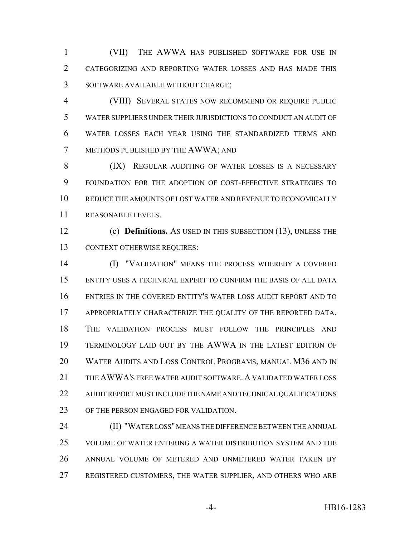(VII) THE AWWA HAS PUBLISHED SOFTWARE FOR USE IN CATEGORIZING AND REPORTING WATER LOSSES AND HAS MADE THIS SOFTWARE AVAILABLE WITHOUT CHARGE;

 (VIII) SEVERAL STATES NOW RECOMMEND OR REQUIRE PUBLIC WATER SUPPLIERS UNDER THEIR JURISDICTIONS TO CONDUCT AN AUDIT OF WATER LOSSES EACH YEAR USING THE STANDARDIZED TERMS AND METHODS PUBLISHED BY THE AWWA; AND

8 (IX) REGULAR AUDITING OF WATER LOSSES IS A NECESSARY FOUNDATION FOR THE ADOPTION OF COST-EFFECTIVE STRATEGIES TO REDUCE THE AMOUNTS OF LOST WATER AND REVENUE TO ECONOMICALLY REASONABLE LEVELS.

 (c) **Definitions.** AS USED IN THIS SUBSECTION (13), UNLESS THE CONTEXT OTHERWISE REQUIRES:

 (I) "VALIDATION" MEANS THE PROCESS WHEREBY A COVERED ENTITY USES A TECHNICAL EXPERT TO CONFIRM THE BASIS OF ALL DATA ENTRIES IN THE COVERED ENTITY'S WATER LOSS AUDIT REPORT AND TO APPROPRIATELY CHARACTERIZE THE QUALITY OF THE REPORTED DATA. THE VALIDATION PROCESS MUST FOLLOW THE PRINCIPLES AND TERMINOLOGY LAID OUT BY THE AWWA IN THE LATEST EDITION OF WATER AUDITS AND LOSS CONTROL PROGRAMS, MANUAL M36 AND IN 21 THE AWWA'S FREE WATER AUDIT SOFTWARE. A VALIDATED WATER LOSS AUDIT REPORT MUST INCLUDE THE NAME AND TECHNICAL QUALIFICATIONS OF THE PERSON ENGAGED FOR VALIDATION.

**(II) "WATER LOSS" MEANS THE DIFFERENCE BETWEEN THE ANNUAL**  VOLUME OF WATER ENTERING A WATER DISTRIBUTION SYSTEM AND THE ANNUAL VOLUME OF METERED AND UNMETERED WATER TAKEN BY REGISTERED CUSTOMERS, THE WATER SUPPLIER, AND OTHERS WHO ARE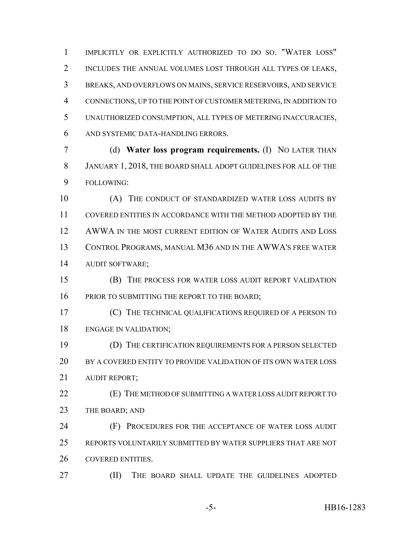IMPLICITLY OR EXPLICITLY AUTHORIZED TO DO SO. "WATER LOSS" INCLUDES THE ANNUAL VOLUMES LOST THROUGH ALL TYPES OF LEAKS, BREAKS, AND OVERFLOWS ON MAINS, SERVICE RESERVOIRS, AND SERVICE CONNECTIONS, UP TO THE POINT OF CUSTOMER METERING, IN ADDITION TO UNAUTHORIZED CONSUMPTION, ALL TYPES OF METERING INACCURACIES, AND SYSTEMIC DATA-HANDLING ERRORS.

 (d) **Water loss program requirements.** (I) NO LATER THAN JANUARY 1, 2018, THE BOARD SHALL ADOPT GUIDELINES FOR ALL OF THE FOLLOWING:

10 (A) THE CONDUCT OF STANDARDIZED WATER LOSS AUDITS BY COVERED ENTITIES IN ACCORDANCE WITH THE METHOD ADOPTED BY THE 12 AWWA IN THE MOST CURRENT EDITION OF WATER AUDITS AND LOSS CONTROL PROGRAMS, MANUAL M36 AND IN THE AWWA'S FREE WATER AUDIT SOFTWARE;

 (B) THE PROCESS FOR WATER LOSS AUDIT REPORT VALIDATION 16 PRIOR TO SUBMITTING THE REPORT TO THE BOARD;

 (C) THE TECHNICAL QUALIFICATIONS REQUIRED OF A PERSON TO ENGAGE IN VALIDATION;

 (D) THE CERTIFICATION REQUIREMENTS FOR A PERSON SELECTED BY A COVERED ENTITY TO PROVIDE VALIDATION OF ITS OWN WATER LOSS AUDIT REPORT;

 (E) THE METHOD OF SUBMITTING A WATER LOSS AUDIT REPORT TO 23 THE BOARD; AND

 (F) PROCEDURES FOR THE ACCEPTANCE OF WATER LOSS AUDIT REPORTS VOLUNTARILY SUBMITTED BY WATER SUPPLIERS THAT ARE NOT COVERED ENTITIES.

(II) THE BOARD SHALL UPDATE THE GUIDELINES ADOPTED

-5- HB16-1283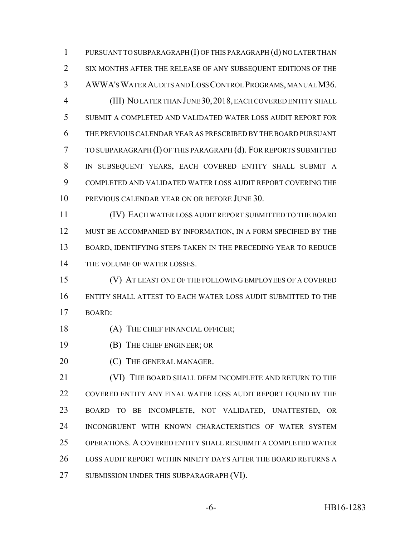PURSUANT TO SUBPARAGRAPH (I) OF THIS PARAGRAPH (d) NO LATER THAN SIX MONTHS AFTER THE RELEASE OF ANY SUBSEQUENT EDITIONS OF THE AWWA'S WATER AUDITS AND LOSS CONTROL PROGRAMS, MANUAL M36. (III) NO LATER THAN JUNE 30,2018, EACH COVERED ENTITY SHALL SUBMIT A COMPLETED AND VALIDATED WATER LOSS AUDIT REPORT FOR THE PREVIOUS CALENDAR YEAR AS PRESCRIBED BY THE BOARD PURSUANT TO SUBPARAGRAPH (I) OF THIS PARAGRAPH (d). FOR REPORTS SUBMITTED IN SUBSEQUENT YEARS, EACH COVERED ENTITY SHALL SUBMIT A COMPLETED AND VALIDATED WATER LOSS AUDIT REPORT COVERING THE PREVIOUS CALENDAR YEAR ON OR BEFORE JUNE 30.

 (IV) EACH WATER LOSS AUDIT REPORT SUBMITTED TO THE BOARD 12 MUST BE ACCOMPANIED BY INFORMATION, IN A FORM SPECIFIED BY THE BOARD, IDENTIFYING STEPS TAKEN IN THE PRECEDING YEAR TO REDUCE THE VOLUME OF WATER LOSSES.

 (V) AT LEAST ONE OF THE FOLLOWING EMPLOYEES OF A COVERED ENTITY SHALL ATTEST TO EACH WATER LOSS AUDIT SUBMITTED TO THE BOARD:

### 18 (A) THE CHIEF FINANCIAL OFFICER;

- (B) THE CHIEF ENGINEER; OR
- **(C)** THE GENERAL MANAGER.

 (VI) THE BOARD SHALL DEEM INCOMPLETE AND RETURN TO THE COVERED ENTITY ANY FINAL WATER LOSS AUDIT REPORT FOUND BY THE BOARD TO BE INCOMPLETE, NOT VALIDATED, UNATTESTED, OR INCONGRUENT WITH KNOWN CHARACTERISTICS OF WATER SYSTEM OPERATIONS. A COVERED ENTITY SHALL RESUBMIT A COMPLETED WATER LOSS AUDIT REPORT WITHIN NINETY DAYS AFTER THE BOARD RETURNS A 27 SUBMISSION UNDER THIS SUBPARAGRAPH (VI).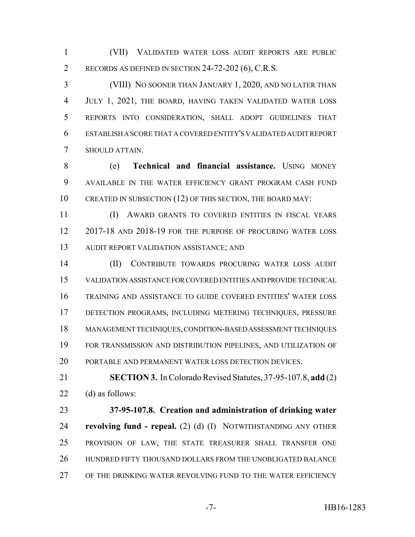(VII) VALIDATED WATER LOSS AUDIT REPORTS ARE PUBLIC RECORDS AS DEFINED IN SECTION 24-72-202 (6), C.R.S.

 (VIII) NO SOONER THAN JANUARY 1, 2020, AND NO LATER THAN JULY 1, 2021, THE BOARD, HAVING TAKEN VALIDATED WATER LOSS REPORTS INTO CONSIDERATION, SHALL ADOPT GUIDELINES THAT ESTABLISH A SCORE THAT A COVERED ENTITY'S VALIDATED AUDIT REPORT SHOULD ATTAIN.

 (e) **Technical and financial assistance.** USING MONEY AVAILABLE IN THE WATER EFFICIENCY GRANT PROGRAM CASH FUND 10 CREATED IN SUBSECTION (12) OF THIS SECTION, THE BOARD MAY:

 (I) AWARD GRANTS TO COVERED ENTITIES IN FISCAL YEARS 2017-18 AND 2018-19 FOR THE PURPOSE OF PROCURING WATER LOSS AUDIT REPORT VALIDATION ASSISTANCE; AND

 (II) CONTRIBUTE TOWARDS PROCURING WATER LOSS AUDIT VALIDATION ASSISTANCE FOR COVERED ENTITIES AND PROVIDE TECHNICAL TRAINING AND ASSISTANCE TO GUIDE COVERED ENTITIES' WATER LOSS DETECTION PROGRAMS, INCLUDING METERING TECHNIQUES, PRESSURE MANAGEMENT TECHNIQUES, CONDITION-BASED ASSESSMENT TECHNIQUES FOR TRANSMISSION AND DISTRIBUTION PIPELINES, AND UTILIZATION OF PORTABLE AND PERMANENT WATER LOSS DETECTION DEVICES.

 **SECTION 3.** In Colorado Revised Statutes, 37-95-107.8, **add** (2) (d) as follows:

 **37-95-107.8. Creation and administration of drinking water revolving fund - repeal.** (2) (d) (I) NOTWITHSTANDING ANY OTHER PROVISION OF LAW, THE STATE TREASURER SHALL TRANSFER ONE HUNDRED FIFTY THOUSAND DOLLARS FROM THE UNOBLIGATED BALANCE OF THE DRINKING WATER REVOLVING FUND TO THE WATER EFFICIENCY